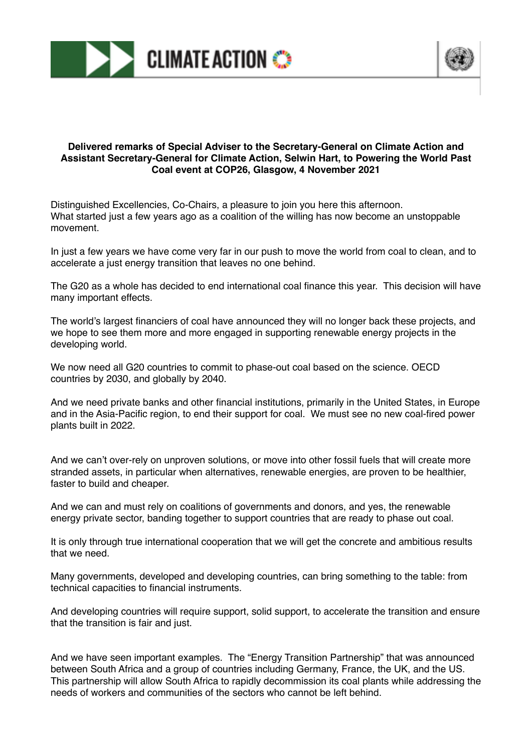



## **Delivered remarks of Special Adviser to the Secretary-General on Climate Action and Assistant Secretary-General for Climate Action, Selwin Hart, to Powering the World Past Coal event at COP26, Glasgow, 4 November 2021**

Distinguished Excellencies, Co-Chairs, a pleasure to join you here this afternoon. What started just a few years ago as a coalition of the willing has now become an unstoppable movement.

In just a few years we have come very far in our push to move the world from coal to clean, and to accelerate a just energy transition that leaves no one behind.

The G20 as a whole has decided to end international coal finance this year. This decision will have many important effects.

The world's largest financiers of coal have announced they will no longer back these projects, and we hope to see them more and more engaged in supporting renewable energy projects in the developing world.

We now need all G20 countries to commit to phase-out coal based on the science. OECD countries by 2030, and globally by 2040.

And we need private banks and other financial institutions, primarily in the United States, in Europe and in the Asia-Pacific region, to end their support for coal. We must see no new coal-fired power plants built in 2022.

And we can't over-rely on unproven solutions, or move into other fossil fuels that will create more stranded assets, in particular when alternatives, renewable energies, are proven to be healthier, faster to build and cheaper.

And we can and must rely on coalitions of governments and donors, and yes, the renewable energy private sector, banding together to support countries that are ready to phase out coal.

It is only through true international cooperation that we will get the concrete and ambitious results that we need.

Many governments, developed and developing countries, can bring something to the table: from technical capacities to financial instruments.

And developing countries will require support, solid support, to accelerate the transition and ensure that the transition is fair and just.

And we have seen important examples. The "Energy Transition Partnership" that was announced between South Africa and a group of countries including Germany, France, the UK, and the US. This partnership will allow South Africa to rapidly decommission its coal plants while addressing the needs of workers and communities of the sectors who cannot be left behind.